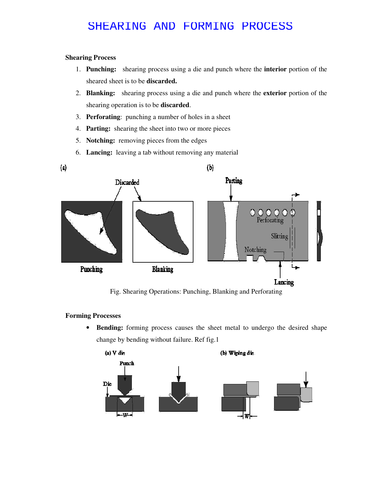# SHEARING AND FORMING PROCESS

### **Shearing Process**

- 1. **Punching:** shearing process using a die and punch where the **interior** portion of the sheared sheet is to be **discarded.**
- 2. **Blanking:** shearing process using a die and punch where the **exterior** portion of the shearing operation is to be **discarded**.
- 3. **Perforating**: punching a number of holes in a sheet
- 4. **Parting:** shearing the sheet into two or more pieces
- 5. **Notching:** removing pieces from the edges
- 6. **Lancing:** leaving a tab without removing any material



Fig. Shearing Operations: Punching, Blanking and Perforating

### **Forming Processes**

• **Bending:** forming process causes the sheet metal to undergo the desired shape change by bending without failure. Ref fig.1

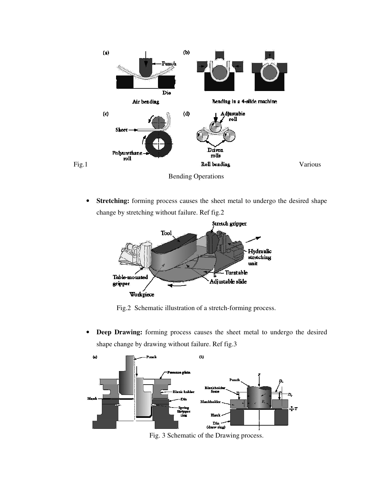

Bending Operations

• **Stretching:** forming process causes the sheet metal to undergo the desired shape change by stretching without failure. Ref fig.2



Fig.2 Schematic illustration of a stretch-forming process.

• **Deep Drawing:** forming process causes the sheet metal to undergo the desired shape change by drawing without failure. Ref fig.3



Fig. 3 Schematic of the Drawing process.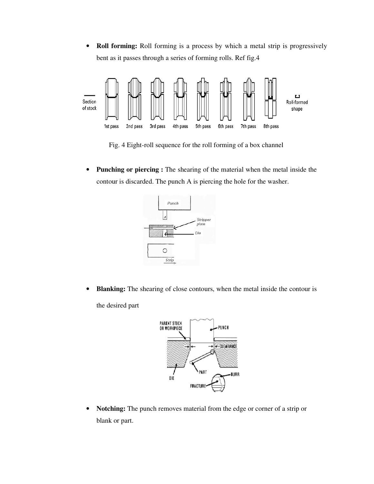• **Roll forming:** Roll forming is a process by which a metal strip is progressively bent as it passes through a series of forming rolls. Ref fig.4



Fig. 4 Eight-roll sequence for the roll forming of a box channel

• **Punching or piercing :** The shearing of the material when the metal inside the contour is discarded. The punch A is piercing the hole for the washer.



• **Blanking:** The shearing of close contours, when the metal inside the contour is the desired part.



• **Notching:** The punch removes material from the edge or corner of a strip or blank or part.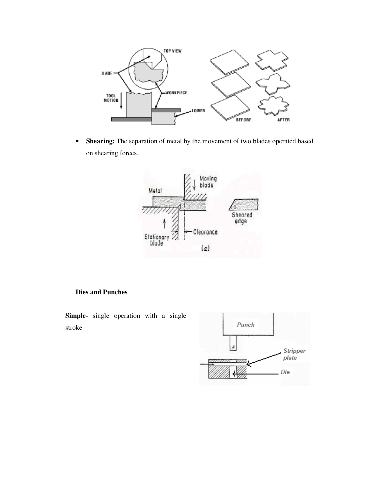

• **Shearing:** The separation of metal by the movement of two blades operated based on shearing forces.



#### **Dies and Punches**

**Simple**- single operation with a single stroke